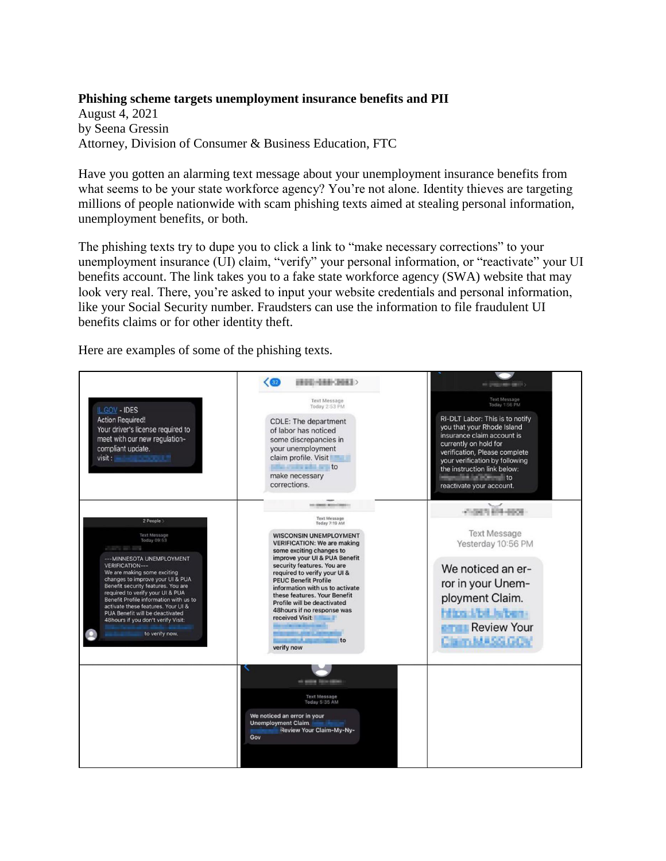## **Phishing scheme targets unemployment insurance benefits and PII**

August 4, 2021 by Seena Gressin Attorney, Division of Consumer & Business Education, FTC

Have you gotten an alarming text message about your unemployment insurance benefits from what seems to be your state workforce agency? You're not alone. Identity thieves are targeting millions of people nationwide with scam phishing texts aimed at stealing personal information, unemployment benefits, or both.

The phishing texts try to dupe you to click a link to "make necessary corrections" to your unemployment insurance (UI) claim, "verify" your personal information, or "reactivate" your UI benefits account. The link takes you to a fake state workforce agency (SWA) website that may look very real. There, you're asked to input your website credentials and personal information, like your Social Security number. Fraudsters can use the information to file fraudulent UI benefits claims or for other identity theft.

Here are examples of some of the phishing texts.